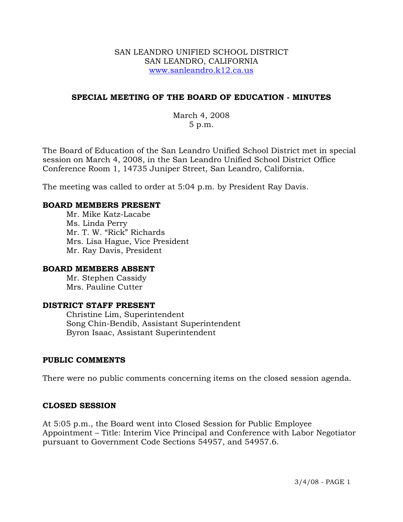### SAN LEANDRO UNIFIED SCHOOL DISTRICT SAN LEANDRO, CALIFORNIA www.sanleandro.k12.ca.us

# **SPECIAL MEETING OF THE BOARD OF EDUCATION - MINUTES**

March 4, 2008 5 p.m.

The Board of Education of the San Leandro Unified School District met in special session on March 4, 2008, in the San Leandro Unified School District Office Conference Room 1, 14735 Juniper Street, San Leandro, California.

The meeting was called to order at 5:04 p.m. by President Ray Davis.

### **BOARD MEMBERS PRESENT**

Mr. Mike Katz-Lacabe Ms. Linda Perry Mr. T. W. "Rick" Richards Mrs. Lisa Hague, Vice President Mr. Ray Davis, President

### **BOARD MEMBERS ABSENT**

 Mr. Stephen Cassidy Mrs. Pauline Cutter

### **DISTRICT STAFF PRESENT**

Christine Lim, Superintendent Song Chin-Bendib, Assistant Superintendent Byron Isaac, Assistant Superintendent

### **PUBLIC COMMENTS**

There were no public comments concerning items on the closed session agenda.

### **CLOSED SESSION**

At 5:05 p.m., the Board went into Closed Session for Public Employee Appointment – Title: Interim Vice Principal and Conference with Labor Negotiator pursuant to Government Code Sections 54957, and 54957.6.